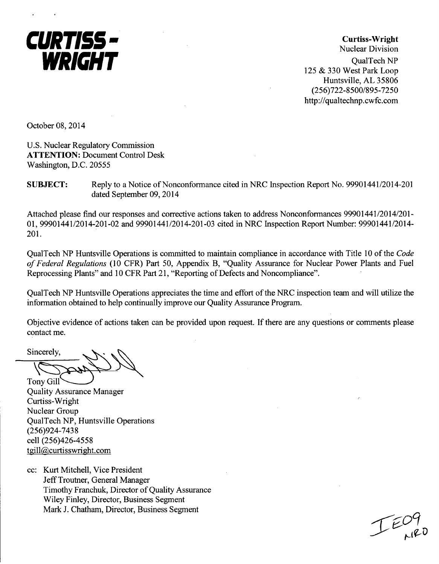

Curtiss-Wright Nuclear Division QualTech NP 125 & 330 West Park Loop Huntsville, AL 35806 (256)722-8500/895-7250 http://qualtechnp.cwfc.com

October 08, 2014

U.S. Nuclear Regulatory Commission ATTENTION: Document Control Desk Washington, D.C. 20555

**SUBJECT:** Reply to a Notice of Nonconformance cited in NRC Inspection Report No. 99901441/2014-201 dated September 09, 2014

Attached please find our responses and corrective actions taken to address Nonconformances 99901441/2014/201- 01, 99901441/2014-201-02 and 99901441/2014-201-03 cited in NRC Inspection Report Number: 99901441/2014- 201.

QualTech NP Huntsville Operations is committed to maintain compliance in accordance with Title 10 of the *Code of Federal Regulations* (10 CFR) Part 50, Appendix B, "Quality Assurance for Nuclear Power Plants and Fuel Reprocessing Plants" and 10 CFR Part 21, "Reporting of Defects and Noncompliance".

QualTech NP Huntsville Operations appreciates the time and effort of the NRC inspection team and will utilize the information obtained to help continually improve our Quality Assurance Program.

Objective evidence of actions taken can be provided upon request. If there are any questions or comments please contact me.

Sincerely,

Tony Gill

Quality Assurance Manager Curtiss-Wright Nuclear Group QualTech NP, Huntsville Operations (256)924-7438 cell (256)426-4558 tgill@curtisswright.com

cc: Kurt Mitchell, Vice President Jeff Troutner, General Manager Timothy Franchuk, Director of Quality Assurance Wiley Finley, Director, Business Segment Mark J. Chatham, Director, Business Segment

اس ہے<br>علیہ مسلم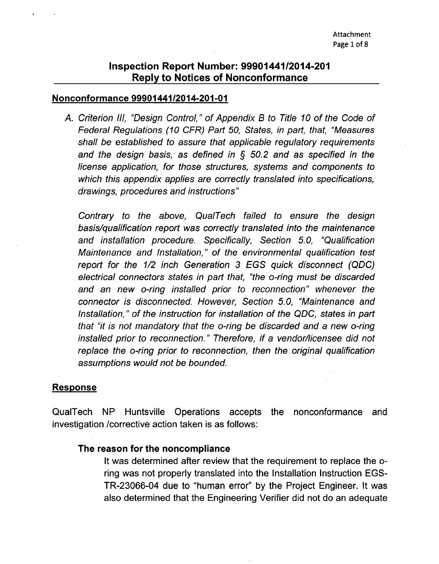#### Nonconformance 99901441/2014-201-01

*A. Criterion Ill, "Design Control," of Appendix B to Title 10 of the Code of Federal Regulations (10 CFR) Part 50, States, in part, that, "Measures shall be established to assure that applicable regulatory requirements and the design basis, as defined in § 50.2 and as specified in the license application, for those structures, systems and components to which this appendix applies are correctly translated into specifications, drawings, procedures and instructions"*

*Contrary to the above, QualTech failed to ensure the design basis/qualification report was correctly translated into the maintenance and installation procedure. Specifically, Section 5.0, "Qualification Maintenance and Installation," of the environmental qualification test report for the 1/2 inch Generation 3 EGS quick disconnect (QDC) electrical connectors states in part that, "the o-ring must be discarded and an new o-ring installed prior to reconnection" whenever the connector is disconnected. However, Section 5.0, "Maintenance and Installation," of the instruction for installation of the QDC, states in part that "it is not mandatory that the o-ring be discarded and a new o-ring installed prior to reconnection." Therefore, if a vendor/licensee did not replace the o-ring prior to reconnection, then the original qualification assumptions would not be bounded.*

## Response

QualTech NP Huntsville Operations accepts the nonconformance and investigation /corrective action taken is as follows:

## The reason for the noncompliance

It was determined after review that the requirement to replace the oring was not properly translated into the Installation Instruction EGS-TR-23066-04 due to "human error" by the Project Engineer. It was also determined that the Engineering Verifier did not do an adequate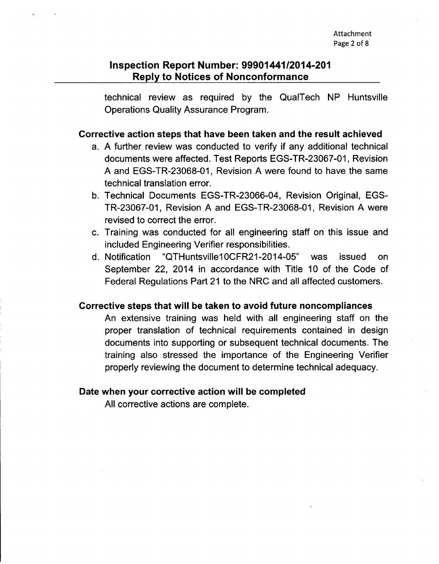technical review as required by the QualTech NP Huntsville Operations Quality Assurance Program.

## Corrective action steps that have been taken and the result achieved

- a. A further review was conducted to verify if any additional technical documents were affected. Test Reports EGS-TR-23067-01, Revision A and EGS-TR-23068-01, Revision A were found to have the same technical translation error.
- b. Technical Documents EGS-TR-23066-04, Revision Original, EGS-TR-23067-01, Revision A and EGS-TR-23068-01, Revision A were revised to correct the error.
- c. Training was conducted for all engineering staff on this issue and included Engineering Verifier responsibilities.
- d. Notification "QTHuntsville10CFR21-2014-05" was issued on September 22, 2014 in accordance with Title 10 of the Code of Federal Regulations Part 21 to the NRC and all affected customers.

## Corrective steps that will be taken to avoid future noncompliances

An extensive training was held with all engineering staff on the proper translation of technical requirements contained in design documents into supporting or subsequent technical documents. The training also stressed the importance of the Engineering Verifier properly reviewing the document to determine technical adequacy.

## Date when your corrective action will be completed

All corrective actions are complete.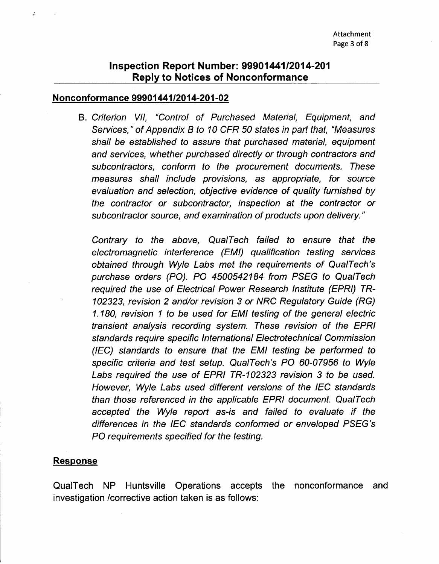#### Nonconformance 9990144112014-201-02

B. *Criterion VII, "Control of Purchased Material, Equipment, and Services," of Appendix B to 10 CFR 50 states in part that, "Measures shall be established to assure that purchased material, equipment and services, whether purchased directly or through contractors and subcontractors, conform to the procurement documents. These measures shall include provisions, as appropriate, for source evaluation and selection, objective evidence of quality furnished by the contractor or subcontractor, inspection at the contractor or subcontractor source, and examination of products upon delivery."*

*Contrary to the above, QualTech failed to ensure that the electromagnetic interference (EMI) qualification testing services obtained through Wyle Labs met the requirements of QualTech's purchase orders (PO). PO 4500542184 from PSEG to QualTech required the use of Electrical Power Research Institute (EPRI) TR-102323, revision 2 and/or revision* **3** *or NRC Regulatory Guide (RG) 1.180, revision 1 to be used for EMI testing of the general electric transient analysis recording system. These revision of the EPRI standards require specific International Electrotechnical Commission (IEC) standards to ensure that the EMI testing be performed to specific criteria and test setup. QualTech's PO 60-07956 to Wyle Labs required the use of EPRI TR-102323 revision 3 to be used. However, Wyle Labs used different versions of the IEC standards than those referenced in the applicable EPRI document. QualTech accepted the Wyle report as-is and failed to evaluate if the differences in the IEC standards conformed or enveloped PSEG's PO requirements specified for the testing.*

#### Response

QualTech NP Huntsville Operations accepts the nonconformance and investigation /corrective action taken is as follows: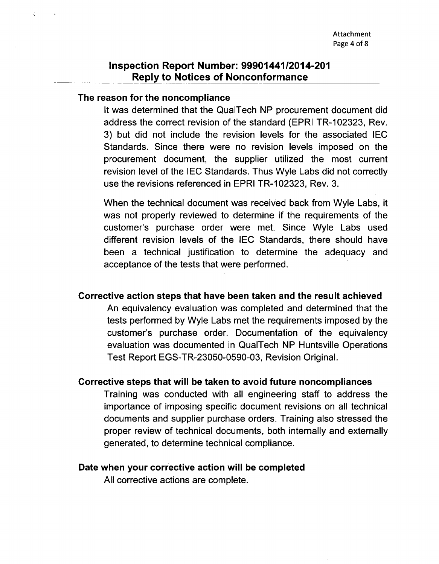#### The reason for the noncompliance

It was determined that the QualTech NP procurement document did address the correct revision of the standard (EPRI TR-102323, Rev. 3) but did not include the revision levels for the associated **IEC** Standards. Since there were no revision levels imposed on the procurement document, the supplier utilized the most current revision level of the lEG Standards. Thus Wyle Labs did not correctly use the revisions referenced in EPRI TR-102323, Rev. 3.

When the technical document was received back from Wyle Labs, it was not properly reviewed to determine if the requirements of the customer's purchase order were met. Since Wyle Labs used different revision levels of the **IEC** Standards, there should have been a technical justification to determine the adequacy and acceptance of the tests that were performed.

#### Corrective action steps that have been taken and the result achieved

An equivalency evaluation was completed and determined that the tests performed by Wyle Labs met the requirements imposed by the customer's purchase order. Documentation of the equivalency evaluation was documented in QualTech NP Huntsville Operations Test Report EGS-TR-23050-0590-03, Revision Original.

## Corrective steps that will be taken to avoid future noncompliances

Training was conducted with all engineering staff to address the importance of imposing specific document revisions on all technical documents and supplier purchase orders. Training also stressed the proper review of technical documents, both internally and externally generated, to determine technical compliance.

#### Date when your corrective action will be completed

All corrective actions are complete.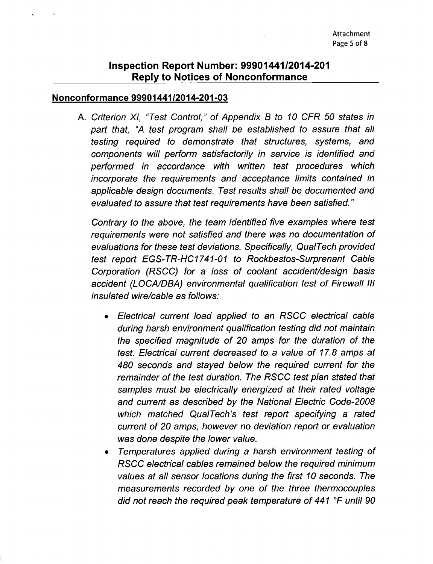#### Nonconformance 99901441/2014-201-03

**A.** *Criterion Xl, "Test Control," of Appendix B to 10 CFR 50 states in part that, "A test program shall be established to assure that all testing required to demonstrate that structures, systems, and components will perform satisfactorily in service is identified and performed in accordance with written test procedures which incorporate the requirements and acceptance limits contained in applicable design documents. Test results shall be documented and evaluated to assure that test requirements have been satisfied."*

*Contrary to the above, the team identified five examples where test requirements were not satisfied and there was no documentation of evaluations for these test deviations. Specifically, QualTech provided test report EGS-TR-HC1741-01 to Rockbestos-Surprenant Cable Corporation (RSCC) for a loss of coolant accident/design basis accident (LOCA/DBA) environmental qualification test of Firewall Ill insulated wire/cable as follows:*

- **"** *Electrical current load applied to an RSCC electrical cable during harsh environment qualification testing did not maintain the specified magnitude of 20 amps for the duration of the test. Electrical current decreased to a value of 17.8 amps at 480 seconds and stayed below the required current for the remainder of the test duration. The RSCC test plan stated that samples must be electrically energized at their rated voltage and current as described by the National Electric Code-2008 which matched QualTech's test report specifying a rated current of 20 amps, however no deviation report or evaluation was done despite the lower value.*
- \* *Temperatures applied during a harsh environment testing of RSCC electrical cables remained below the required minimum values at all sensor locations during the first 10 seconds. The measurements recorded by one of the three thermocouples did not reach the required peak temperature of 441 'F until 90*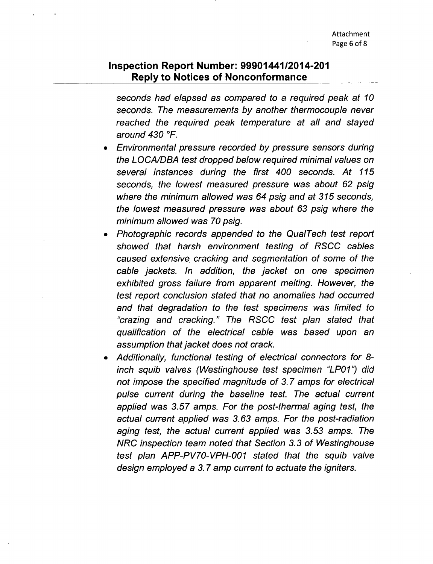*seconds had elapsed as compared to a required peak at 10 seconds. The measurements by another thermocouple never reached the required peak temperature at all and stayed around 430 TF.*

- \* *Environmental pressure recorded by pressure sensors during the LOCA/DBA test dropped below required minimal values on several instances during the first 400 seconds. At 115 seconds, the lowest measured pressure was about 62 psig where the minimum allowed was 64 psig and at 315 seconds, the lowest measured pressure was about 63 psig where the minimum allowed was 70 psig.*
- \* *Photographic records appended to the QualTech test report showed that harsh environment testing of RSCC cables caused extensive cracking and segmentation of some of the cable jackets. In addition, the jacket on one specimen exhibited gross failure from apparent melting. However, the test report conclusion stated that no anomalies had occurred and that degradation to the test specimens was limited to "crazing and cracking." The RSCC test plan stated that qualification of the electrical cable was based upon an assumption that jacket does not crack.*
- \* *Additionally, functional testing of electrical connectors for 8 inch squib valves (Westinghouse test specimen "LP01") did not impose the specified magnitude of 3.7 amps for electrical pulse current during the baseline test. The actual current applied was 3.57 amps. For the post-thermal aging test, the actual current applied was 3.63 amps. For the post-radiation aging test, the actual current applied was 3.53 amps. The NRC inspection team noted that Section 3.3 of Westinghouse test plan APP-PV70-VPH-001 stated that the squib valve design employed a 3.7 amp current to actuate the igniters.*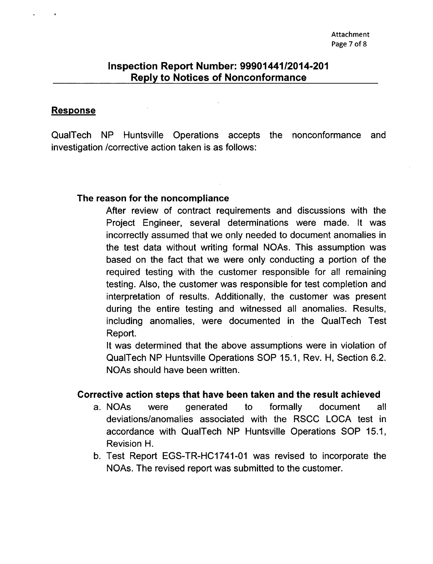#### Response

QualTech NP Huntsville Operations accepts the nonconformance and investigation /corrective action taken is as follows:

#### The reason for the noncompliance

After review of contract requirements and discussions with the Project Engineer, several determinations were made. It was incorrectly assumed that we only needed to document anomalies in the test data without writing formal NOAs. This assumption was based on the fact that we were only conducting a portion of the required testing with the customer responsible for all remaining testing. Also, the customer was responsible for test completion and interpretation of results. Additionally, the customer was present during the entire testing and witnessed all anomalies. Results, including anomalies, were documented in the QualTech Test Report.

It was determined that the above assumptions were in violation of QualTech NP Huntsville Operations SOP 15.1, Rev. H, Section 6.2. NOAs should have been written.

## Corrective action steps that have been taken and the result achieved

- a. NOAs were generated to formally document all deviations/anomalies associated with the RSCG LOCA test in accordance with QualTech NP Huntsville Operations SOP 15.1, Revision H.
- b. Test Report EGS-TR-HC1741-01 was revised to incorporate the NOAs. The revised report was submitted to the customer.